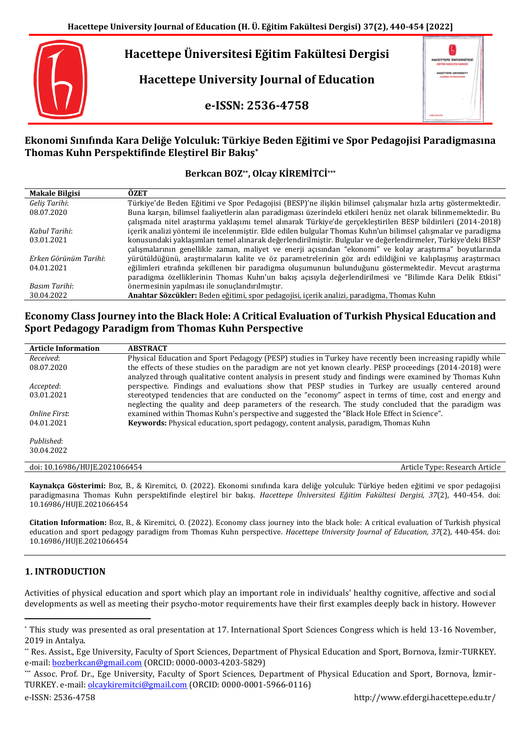# **Hacettepe Üniversitesi Eğitim Fakültesi Dergisi**

**Hacettepe University Journal of Education**

**e-ISSN: 2536-4758**



# **Ekonomi Sınıfında Kara Deliğe Yolculuk: Türkiye Beden Eğitimi ve Spor Pedagojisi Paradigmasına Thomas Kuhn Perspektifinde Eleştirel Bir Bakış\***

# **Berkcan BOZ\*\*, Olcay KİREMİTCİ\*\*\***

| <b>Makale Bilgisi</b> | ÖZET                                                                                                           |
|-----------------------|----------------------------------------------------------------------------------------------------------------|
| Geliş Tarihi:         | Türkiye'de Beden Eğitimi ve Spor Pedagojisi (BESP)'ne ilişkin bilimsel çalışmalar hızla artış göstermektedir.  |
| 08.07.2020            | Buna karşın, bilimsel faaliyetlerin alan paradigması üzerindeki etkileri henüz net olarak bilinmemektedir. Bu  |
|                       | çalışmada nitel araştırma yaklaşımı temel alınarak Türkiye'de gerçekleştirilen BESP bildirileri (2014-2018)    |
| Kahul Tarihi:         | icerik analizi yöntemi ile incelenmistir. Elde edilen bulgular Thomas Kuhn'un bilimsel calısmalar ve paradigma |
| 03.01.2021            | konusundaki yaklaşımları temel alınarak değerlendirilmiştir. Bulgular ve değerlendirmeler, Türkiye'deki BESP   |
|                       | çalışmalarının genellikle zaman, maliyet ve enerji açısından "ekonomi" ve kolay araştırma" boyutlarında        |
| Erken Görünüm Tarihi: | yürütüldüğünü, araştırmaların kalite ve öz parametrelerinin göz ardı edildiğini ve kalıplaşmış araştırmacı     |
| 04.01.2021            | eğilimleri etrafında şekillenen bir paradigma oluşumunun bulunduğunu göstermektedir. Mevcut araştırma          |
|                       | paradigma özelliklerinin Thomas Kuhn'un bakış açısıyla değerlendirilmesi ve "Bilimde Kara Delik Etkisi"        |
| Basım Tarihi:         | önermesinin vapılması ile sonuclandırılmıştır.                                                                 |
| 30.04.2022            | <b>Anahtar Sözcükler:</b> Beden eğitimi, spor pedagojisi, içerik analizi, paradigma, Thomas Kuhn               |

# **Economy Class Journey into the Black Hole: A Critical Evaluation of Turkish Physical Education and Sport Pedagogy Paradigm from Thomas Kuhn Perspective**

| <b>Article Information</b>    | <b>ABSTRACT</b>                                                                                            |
|-------------------------------|------------------------------------------------------------------------------------------------------------|
| Received:                     | Physical Education and Sport Pedagogy (PESP) studies in Turkey have recently been increasing rapidly while |
| 08.07.2020                    | the effects of these studies on the paradigm are not yet known clearly. PESP proceedings (2014-2018) were  |
|                               | analyzed through qualitative content analysis in present study and findings were examined by Thomas Kuhn   |
| Accepted:                     | perspective. Findings and evaluations show that PESP studies in Turkey are usually centered around         |
| 03.01.2021                    | stereotyped tendencies that are conducted on the "economy" aspect in terms of time, cost and energy and    |
|                               | neglecting the quality and deep parameters of the research. The study concluded that the paradigm was      |
| Online First:                 | examined within Thomas Kuhn's perspective and suggested the "Black Hole Effect in Science".                |
| 04.01.2021                    | <b>Keywords:</b> Physical education, sport pedagogy, content analysis, paradigm, Thomas Kuhn               |
|                               |                                                                                                            |
| Published:                    |                                                                                                            |
| 30.04.2022                    |                                                                                                            |
|                               |                                                                                                            |
| doi: 10.16986/HUJE.2021066454 | Article Type: Research Article                                                                             |

**Kaynakça Gösterimi:** Boz, B., & Kiremitci, O. (2022). Ekonomi sınıfında kara deliğe yolculuk: Türkiye beden eğitimi ve spor pedagojisi paradigmasına Thomas Kuhn perspektifinde eleştirel bir bakış. *Hacettepe Üniversitesi Eğitim Fakültesi Dergisi, 37*(2), 440-454. doi: 10.16986/HUJE.2021066454

**Citation Information:** Boz, B., & Kiremitci, O. (2022). Economy class journey into the black hole: A critical evaluation of Turkish physical education and sport pedagogy paradigm from Thomas Kuhn perspective. *Hacettepe University Journal of Education, 37*(2), 440-454. doi: 10.16986/HUJE.2021066454

# **1. INTRODUCTION**

 $\overline{a}$ 

Activities of physical education and sport which play an important role in individuals' healthy cognitive, affective and social developments as well as meeting their psycho-motor requirements have their first examples deeply back in history. However

<sup>\*</sup> This study was presented as oral presentation at 17. International Sport Sciences Congress which is held 13-16 November, 2019 in Antalya.

<sup>\*\*</sup> Res. Assist., Ege University, Faculty of Sport Sciences, Department of Physical Education and Sport, Bornova, İzmir-TURKEY. e-mail: [bozberkcan@gmail.com](mailto:bozberkcan@gmail.com) (ORCID: 0000-0003-4203-5829)

<sup>\*\*\*</sup> Assoc. Prof. Dr., Ege University, Faculty of Sport Sciences, Department of Physical Education and Sport, Bornova, İzmir-TURKEY. e-mail[: olcaykiremitci@gmail.com](mailto:olcaykiremitci@gmail.com) (ORCID: 0000-0001-5966-0116)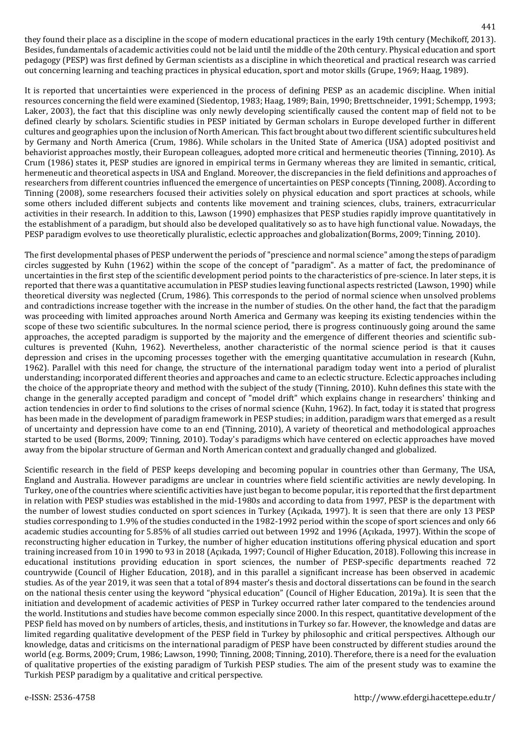they found their place as a discipline in the scope of modern educational practices in the early 19th century (Mechikoff, 2013). Besides, fundamentals of academic activities could not be laid until the middle of the 20th century. Physical education and sport pedagogy (PESP) was first defined by German scientists as a discipline in which theoretical and practical research was carried out concerning learning and teaching practices in physical education, sport and motor skills (Grupe, 1969; Haag, 1989).

It is reported that uncertainties were experienced in the process of defining PESP as an academic discipline. When initial resources concerning the field were examined (Siedentop, 1983; Haag, 1989; Bain, 1990; Brettschneider, 1991; Schempp, 1993; Laker, 2003), the fact that this discipline was only newly developing scientifically caused the content map of field not to be defined clearly by scholars. Scientific studies in PESP initiated by German scholars in Europe developed further in different cultures and geographies upon the inclusion of North American. This fact brought about two different scientific subcultures held by Germany and North America (Crum, 1986). While scholars in the United State of America (USA) adopted positivist and behaviorist approaches mostly, their European colleagues, adopted more critical and hermeneutic theories (Tinning, 2010). As Crum (1986) states it, PESP studies are ignored in empirical terms in Germany whereas they are limited in semantic, critical, hermeneutic and theoretical aspects in USA and England. Moreover, the discrepancies in the field definitions and approaches of researchers from different countries influenced the emergence of uncertainties on PESP concepts (Tinning, 2008). According to Tinning (2008), some researchers focused their activities solely on physical education and sport practices at schools, while some others included different subjects and contents like movement and training sciences, clubs, trainers, extracurricular activities in their research. In addition to this, Lawson (1990) emphasizes that PESP studies rapidly improve quantitatively in the establishment of a paradigm, but should also be developed qualitatively so as to have high functional value. Nowadays, the PESP paradigm evolves to use theoretically pluralistic, eclectic approaches and globalization(Borms, 2009; Tinning, 2010).

The first developmental phases of PESP underwent the periods of "prescience and normal science" among the steps of paradigm circles suggested by Kuhn (1962) within the scope of the concept of "paradigm". As a matter of fact, the predominance of uncertainties in the first step of the scientific development period points to the characteristics of pre-science. In later steps, it is reported that there was a quantitative accumulation in PESP studies leaving functional aspects restricted (Lawson, 1990) while theoretical diversity was neglected (Crum, 1986). This corresponds to the period of normal science when unsolved problems and contradictions increase together with the increase in the number of studies. On the other hand, the fact that the paradigm was proceeding with limited approaches around North America and Germany was keeping its existing tendencies within the scope of these two scientific subcultures. In the normal science period, there is progress continuously going around the same approaches, the accepted paradigm is supported by the majority and the emergence of different theories and scientific subcultures is prevented (Kuhn, 1962). Nevertheless, another characteristic of the normal science period is that it causes depression and crises in the upcoming processes together with the emerging quantitative accumulation in research (Kuhn, 1962). Parallel with this need for change, the structure of the international paradigm today went into a period of pluralist understanding; incorporated different theories and approaches and came to an eclectic structure. Eclectic approaches including the choice of the appropriate theory and method with the subject of the study (Tinning, 2010). Kuhn defines this state with the change in the generally accepted paradigm and concept of "model drift" which explains change in researchers' thinking and action tendencies in order to find solutions to the crises of normal science (Kuhn, 1962). In fact, today it is stated that progress has been made in the development of paradigm framework in PESP studies; in addition, paradigm wars that emerged as a result of uncertainty and depression have come to an end (Tinning, 2010), A variety of theoretical and methodological approaches started to be used (Borms, 2009; Tinning, 2010). Today's paradigms which have centered on eclectic approaches have moved away from the bipolar structure of German and North American context and gradually changed and globalized.

Scientific research in the field of PESP keeps developing and becoming popular in countries other than Germany, The USA, England and Australia. However paradigms are unclear in countries where field scientific activities are newly developing. In Turkey, one of the countries where scientific activities have just began to become popular, it is reported that the first department in relation with PESP studies was established in the mid-1980s and according to data from 1997, PESP is the department with the number of lowest studies conducted on sport sciences in Turkey (Açıkada, 1997). It is seen that there are only 13 PESP studies corresponding to 1.9% of the studies conducted in the 1982-1992 period within the scope of sport sciences and only 66 academic studies accounting for 5.85% of all studies carried out between 1992 and 1996 (Açıkada, 1997). Within the scope of reconstructing higher education in Turkey, the number of higher education institutions offering physical education and sport training increased from 10 in 1990 to 93 in 2018 (Açıkada, 1997; Council of Higher Education, 2018). Following this increase in educational institutions providing education in sport sciences, the number of PESP-specific departments reached 72 countrywide (Council of Higher Education, 2018), and in this parallel a significant increase has been observed in academic studies. As of the year 2019, it was seen that a total of 894 master's thesis and doctoral dissertations can be found in the search on the national thesis center using the keyword "physical education" (Council of Higher Education, 2019a). It is seen that the initiation and development of academic activities of PESP in Turkey occurred rather later compared to the tendencies around the world. Institutions and studies have become common especially since 2000. In this respect, quantitative development of the PESP field has moved on by numbers of articles, thesis, and institutions in Turkey so far. However, the knowledge and datas are limited regarding qualitative development of the PESP field in Turkey by philosophic and critical perspectives. Although our knowledge, datas and criticisms on the international paradigm of PESP have been constructed by different studies around the world (e.g. Borms, 2009; Crum, 1986; Lawson, 1990; Tinning, 2008; Tinning, 2010). Therefore, there is a need for the evaluation of qualitative properties of the existing paradigm of Turkish PESP studies. The aim of the present study was to examine the Turkish PESP paradigm by a qualitative and critical perspective.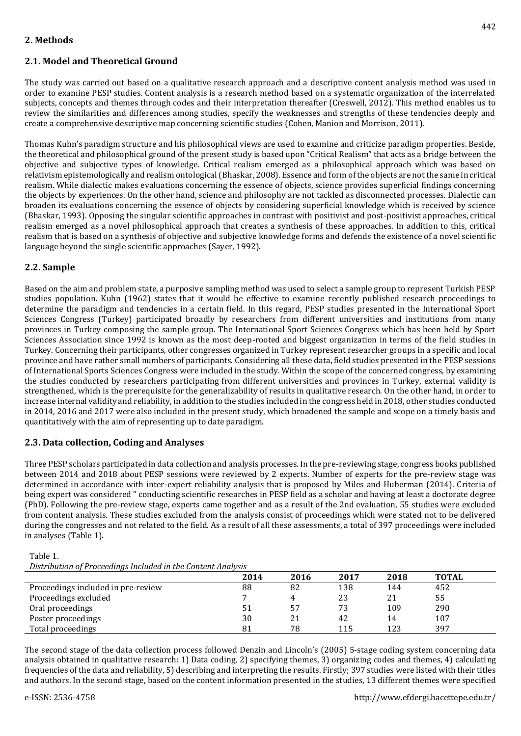# **2. Methods**

# **2.1. Model and Theoretical Ground**

The study was carried out based on a qualitative research approach and a descriptive content analysis method was used in order to examine PESP studies. Content analysis is a research method based on a systematic organization of the interrelated subjects, concepts and themes through codes and their interpretation thereafter (Creswell, 2012). This method enables us to review the similarities and differences among studies, specify the weaknesses and strengths of these tendencies deeply and create a comprehensive descriptive map concerning scientific studies (Cohen, Manion and Morrison, 2011).

Thomas Kuhn's paradigm structure and his philosophical views are used to examine and criticize paradigm properties. Beside, the theoretical and philosophical ground of the present study is based upon "Critical Realism" that acts as a bridge between the objective and subjective types of knowledge. Critical realism emerged as a philosophical approach which was based on relativism epistemologically and realism ontological (Bhaskar, 2008). Essence and form of the objects are not the same in critical realism. While dialectic makes evaluations concerning the essence of objects, science provides superficial findings concerning the objects by experiences. On the other hand, science and philosophy are not tackled as disconnected processes. Dialectic can broaden its evaluations concerning the essence of objects by considering superficial knowledge which is received by science (Bhaskar, 1993). Opposing the singular scientific approaches in contrast with positivist and post-positivist approaches, critical realism emerged as a novel philosophical approach that creates a synthesis of these approaches. In addition to this, critical realism that is based on a synthesis of objective and subjective knowledge forms and defends the existence of a novel scientific language beyond the single scientific approaches (Sayer, 1992).

# **2.2. Sample**

Based on the aim and problem state, a purposive sampling method was used to select a sample group to represent Turkish PESP studies population. Kuhn (1962) states that it would be effective to examine recently published research proceedings to determine the paradigm and tendencies in a certain field. In this regard, PESP studies presented in the International Sport Sciences Congress (Turkey) participated broadly by researchers from different universities and institutions from many provinces in Turkey composing the sample group. The International Sport Sciences Congress which has been held by Sport Sciences Association since 1992 is known as the most deep-rooted and biggest organization in terms of the field studies in Turkey. Concerning their participants, other congresses organized in Turkey represent researcher groups in a specific and local province and have rather small numbers of participants. Considering all these data, field studies presented in the PESP sessions of International Sports Sciences Congress were included in the study. Within the scope of the concerned congress, by examining the studies conducted by researchers participating from different universities and provinces in Turkey, external validity is strengthened, which is the prerequisite for the generalizability of results in qualitative research. On the other hand, in order to increase internal validity and reliability, in addition to the studies included in the congress held in 2018, other studies conducted in 2014, 2016 and 2017 were also included in the present study, which broadened the sample and scope on a timely basis and quantitatively with the aim of representing up to date paradigm.

# **2.3. Data collection, Coding and Analyses**

Three PESP scholars participated in data collection and analysis processes. In the pre-reviewing stage, congress books published between 2014 and 2018 about PESP sessions were reviewed by 2 experts. Number of experts for the pre-review stage was determined in accordance with inter-expert reliability analysis that is proposed by Miles and Huberman (2014). Criteria of being expert was considered " conducting scientific researches in PESP field as a scholar and having at least a doctorate degree (PhD). Following the pre-review stage, experts came together and as a result of the 2nd evaluation, 55 studies were excluded from content analysis. These studies excluded from the analysis consist of proceedings which were stated not to be delivered during the congresses and not related to the field. As a result of all these assessments, a total of 397 proceedings were included in analyses (Table 1).

| Table 1.                                                     |  |
|--------------------------------------------------------------|--|
| Distribution of Proceedings Included in the Content Analysis |  |
|                                                              |  |

|                                    | 2014           | 2016 | 2017 | 2018 | <b>TOTAL</b> |
|------------------------------------|----------------|------|------|------|--------------|
| Proceedings included in pre-review | 88             | 82   | 138  | 144  | 452          |
| Proceedings excluded               | $\overline{ }$ | 4    | 23   | 21   | 55           |
| Oral proceedings                   |                | 57   | 73   | 109  | 290          |
| Poster proceedings                 | 30             | 21   | 42   | 14   | 107          |
| Total proceedings                  | 81             | 78   | 115  | 123  | 397          |

The second stage of the data collection process followed Denzin and Lincoln's (2005) 5-stage coding system concerning data analysis obtained in qualitative research: 1) Data coding, 2) specifying themes, 3) organizing codes and themes, 4) calculating frequencies of the data and reliability, 5) describing and interpreting the results. Firstly; 397 studies were listed with their titles and authors. In the second stage, based on the content information presented in the studies, 13 different themes were specified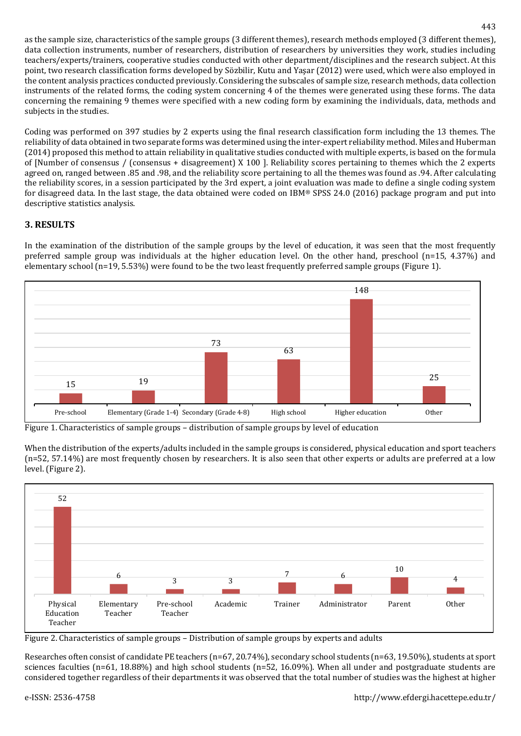as the sample size, characteristics of the sample groups (3 different themes), research methods employed (3 different themes), data collection instruments, number of researchers, distribution of researchers by universities they work, studies including teachers/experts/trainers, cooperative studies conducted with other department/disciplines and the research subject. At this point, two research classification forms developed by Sözbilir, Kutu and Yaşar (2012) were used, which were also employed in the content analysis practices conducted previously. Considering the subscales of sample size, research methods, data collection instruments of the related forms, the coding system concerning 4 of the themes were generated using these forms. The data concerning the remaining 9 themes were specified with a new coding form by examining the individuals, data, methods and subjects in the studies.

Coding was performed on 397 studies by 2 experts using the final research classification form including the 13 themes. The reliability of data obtained in two separate forms was determined using the inter-expert reliability method. Miles and Huberman (2014) proposed this method to attain reliability in qualitative studies conducted with multiple experts, is based on the formula of [Number of consensus / (consensus + disagreement) X 100 ]. Reliability scores pertaining to themes which the 2 experts agreed on, ranged between .85 and .98, and the reliability score pertaining to all the themes was found as .94. After calculating the reliability scores, in a session participated by the 3rd expert, a joint evaluation was made to define a single coding system for disagreed data. In the last stage, the data obtained were coded on IBM® SPSS 24.0 (2016) package program and put into descriptive statistics analysis.

# **3. RESULTS**

In the examination of the distribution of the sample groups by the level of education, it was seen that the most frequently preferred sample group was individuals at the higher education level. On the other hand, preschool (n=15, 4.37%) and elementary school  $(n=19, 5.53%)$  were found to be the two least frequently preferred sample groups (Figure 1).



Figure 1. Characteristics of sample groups – distribution of sample groups by level of education

When the distribution of the experts/adults included in the sample groups is considered, physical education and sport teachers (n=52, 57.14%) are most frequently chosen by researchers. It is also seen that other experts or adults are preferred at a low level. (Figure 2).



Figure 2. Characteristics of sample groups – Distribution of sample groups by experts and adults

Researches often consist of candidate PE teachers (n=67, 20.74%), secondary school students (n=63, 19.50%), students at sport sciences faculties (n=61, 18.88%) and high school students (n=52, 16.09%). When all under and postgraduate students are considered together regardless of their departments it was observed that the total number of studies was the highest at higher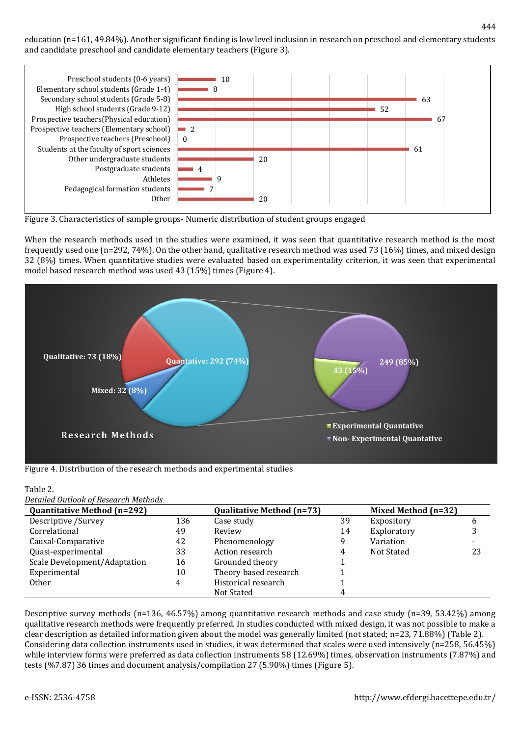#### education (n=161, 49.84%). Another significant finding is low level inclusion in research on preschool and elementary students and candidate preschool and candidate elementary teachers (Figure 3).



Figure 3. Characteristics of sample groups- Numeric distribution of student groups engaged

When the research methods used in the studies were examined, it was seen that quantitative research method is the most frequently used one (n=292, 74%). On the other hand, qualitative research method was used 73 (16%) times, and mixed design 32 (8%) times. When quantitative studies were evaluated based on experimentality criterion, it was seen that experimental model based research method was used 43 (15%) times (Figure 4).



Figure 4. Distribution of the research methods and experimental studies

| Table 2.                             |  |
|--------------------------------------|--|
| Detailed Outlook of Research Methods |  |

| <b>Quantitative Method (n=292)</b> |     | <b>Qualitative Method (n=73)</b> |    | Mixed Method (n=32) |    |
|------------------------------------|-----|----------------------------------|----|---------------------|----|
| Descriptive / Survey               | 136 | Case study                       | 39 | Expository          | b  |
| Correlational                      | 49  | Review                           | 14 | Exploratory         |    |
| Causal-Comparative                 | 42  | Phenomenology                    |    | Variation           |    |
| Quasi-experimental                 | 33  | Action research                  |    | Not Stated          | 23 |
| Scale Development/Adaptation<br>16 |     | Grounded theory                  |    |                     |    |
| Experimental                       | 10  | Theory based research            |    |                     |    |
| <b>Other</b>                       | 4   | Historical research              |    |                     |    |
|                                    |     | Not Stated                       |    |                     |    |

Descriptive survey methods (n=136, 46.57%) among quantitative research methods and case study (n=39, 53.42%) among qualitative research methods were frequently preferred. In studies conducted with mixed design, it was not possible to make a clear description as detailed information given about the model was generally limited (not stated; n=23, 71.88%) (Table 2). Considering data collection instruments used in studies, it was determined that scales were used intensively (n=258, 56.45%) while interview forms were preferred as data collection instruments 58 (12.69%) times, observation instruments (7.87%) and tests (%7.87) 36 times and document analysis/compilation 27 (5.90%) times (Figure 5).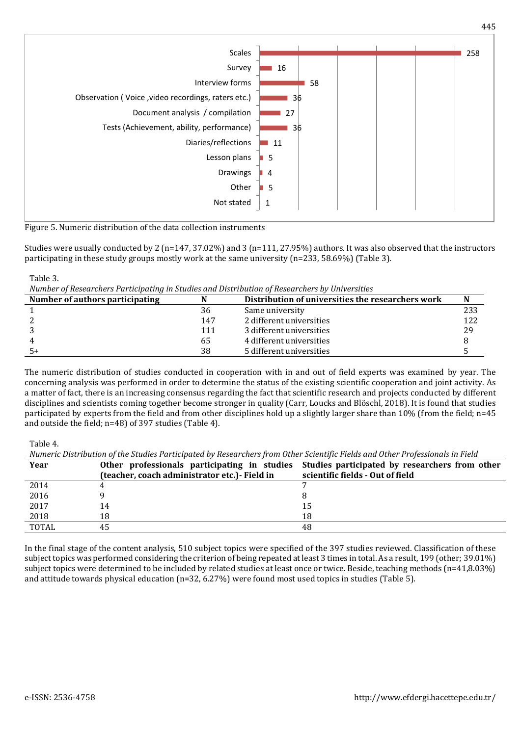

Figure 5. Numeric distribution of the data collection instruments

Studies were usually conducted by 2 ( $n=147, 37.02\%$ ) and 3 ( $n=111, 27.95\%$ ) authors. It was also observed that the instructors participating in these study groups mostly work at the same university (n=233, 58.69%) (Table 3).

*Number of Researchers Participating in Studies and Distribution of Researchers by Universities*

| Number of authors participating |     | Distribution of universities the researchers work |     |
|---------------------------------|-----|---------------------------------------------------|-----|
|                                 | 36  | Same university                                   | 233 |
|                                 | 147 | 2 different universities                          | 122 |
|                                 | 111 | 3 different universities                          | 29  |
|                                 | 65  | 4 different universities                          |     |
|                                 | 38  | 5 different universities                          |     |

The numeric distribution of studies conducted in cooperation with in and out of field experts was examined by year. The concerning analysis was performed in order to determine the status of the existing scientific cooperation and joint activity. As a matter of fact, there is an increasing consensus regarding the fact that scientific research and projects conducted by different disciplines and scientists coming together become stronger in quality (Carr, Loucks and Blöschl, 2018). It is found that studies participated by experts from the field and from other disciplines hold up a slightly larger share than 10% (from the field; n=45 and outside the field; n=48) of 397 studies (Table 4).

Table 4.

Table 3.

*Numeric Distribution of the Studies Participated by Researchers from Other Scientific Fields and Other Professionals in Field*

| IN THE TO DISTINGUING THE SUBJECT PUBLIC PUT INTERVIEW IN THE TOWARD ON THE TO DISTINGUING THE PLOTES IN THE T |                                              |                                                                                             |  |  |  |
|----------------------------------------------------------------------------------------------------------------|----------------------------------------------|---------------------------------------------------------------------------------------------|--|--|--|
| Year                                                                                                           |                                              | Other professionals participating in studies Studies participated by researchers from other |  |  |  |
|                                                                                                                | (teacher, coach administrator etc.) Field in | scientific fields - Out of field                                                            |  |  |  |
| 2014                                                                                                           |                                              |                                                                                             |  |  |  |
| 2016                                                                                                           |                                              |                                                                                             |  |  |  |
| 2017                                                                                                           | 14                                           | 15                                                                                          |  |  |  |
| 2018                                                                                                           | 18                                           | 18                                                                                          |  |  |  |
| <b>TOTAL</b>                                                                                                   | 45                                           | 48                                                                                          |  |  |  |

In the final stage of the content analysis, 510 subject topics were specified of the 397 studies reviewed. Classification of these subject topics was performed considering the criterion of being repeated at least 3 times in total. As a result, 199 (other; 39.01%) subject topics were determined to be included by related studies at least once or twice. Beside, teaching methods (n=41,8.03%) and attitude towards physical education (n=32, 6.27%) were found most used topics in studies (Table 5).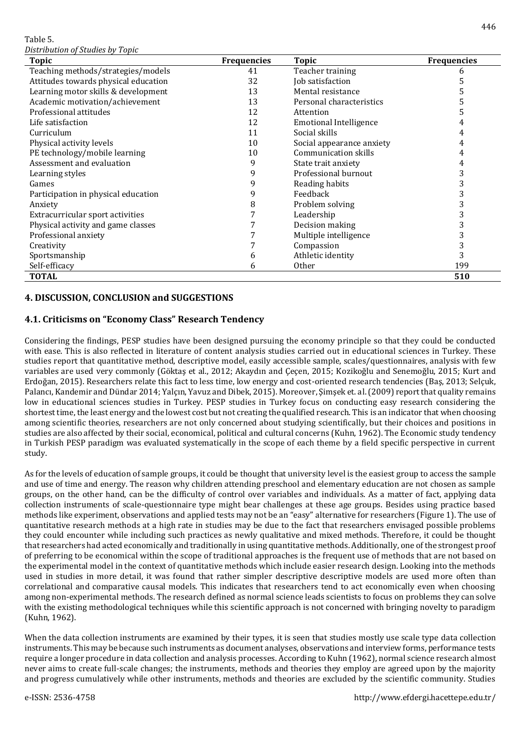Table 5.

*Distribution of Studies by Topic*

| <b>Topic</b>                         | <b>Frequencies</b> | <b>Topic</b>                  | <b>Frequencies</b> |
|--------------------------------------|--------------------|-------------------------------|--------------------|
| Teaching methods/strategies/models   | 41                 | Teacher training              | 6                  |
| Attitudes towards physical education | 32                 | Job satisfaction              | 5                  |
| Learning motor skills & development  | 13                 | Mental resistance             | 5                  |
| Academic motivation/achievement      | 13                 | Personal characteristics      |                    |
| Professional attitudes               | 12                 | Attention                     | 5                  |
| Life satisfaction                    | 12                 | <b>Emotional Intelligence</b> | 4                  |
| Curriculum                           | 11                 | Social skills                 | 4                  |
| Physical activity levels             | 10                 | Social appearance anxiety     | 4                  |
| PE technology/mobile learning        | 10                 | Communication skills          | 4                  |
| Assessment and evaluation            | 9                  | State trait anxiety           | 4                  |
| Learning styles                      | 9                  | Professional burnout          | 3                  |
| Games                                | 9                  | Reading habits                | 3                  |
| Participation in physical education  | 9                  | Feedback                      | 3                  |
| Anxiety                              | 8                  | Problem solving               | 3                  |
| Extracurricular sport activities     |                    | Leadership                    | 3                  |
| Physical activity and game classes   |                    | Decision making               | 3                  |
| Professional anxiety                 |                    | Multiple intelligence         | 3                  |
| Creativity                           |                    | Compassion                    | 3                  |
| Sportsmanship                        | 6                  | Athletic identity             | 3                  |
| Self-efficacy                        | 6                  | <b>Other</b>                  | 199                |
| <b>TOTAL</b>                         |                    |                               | 510                |

### **4. DISCUSSION, CONCLUSION and SUGGESTIONS**

### **4.1. Criticisms on "Economy Class" Research Tendency**

Considering the findings, PESP studies have been designed pursuing the economy principle so that they could be conducted with ease. This is also reflected in literature of content analysis studies carried out in educational sciences in Turkey. These studies report that quantitative method, descriptive model, easily accessible sample, scales/questionnaires, analysis with few variables are used very commonly (Göktaş et al., 2012; Akaydın and Çeçen, 2015; Kozikoğlu and Senemoğlu, 2015; Kurt and Erdoğan, 2015). Researchers relate this fact to less time, low energy and cost-oriented research tendencies (Baş, 2013; Selçuk, Palancı, Kandemir and Dündar 2014; Yalçın, Yavuz and Dibek, 2015). Moreover, Şimşek et. al. (2009) report that quality remains low in educational sciences studies in Turkey. PESP studies in Turkey focus on conducting easy research considering the shortest time, the least energy and the lowest cost but not creating the qualified research. This is an indicator that when choosing among scientific theories, researchers are not only concerned about studying scientifically, but their choices and positions in studies are also affected by their social, economical, political and cultural concerns (Kuhn, 1962). The Economic study tendency in Turkish PESP paradigm was evaluated systematically in the scope of each theme by a field specific perspective in current study.

As for the levels of education of sample groups, it could be thought that university level is the easiest group to access the sample and use of time and energy. The reason why children attending preschool and elementary education are not chosen as sample groups, on the other hand, can be the difficulty of control over variables and individuals. As a matter of fact, applying data collection instruments of scale-questionnaire type might bear challenges at these age groups. Besides using practice based methods like experiment, observations and applied tests may not be an "easy" alternative for researchers (Figure 1). The use of quantitative research methods at a high rate in studies may be due to the fact that researchers envisaged possible problems they could encounter while including such practices as newly qualitative and mixed methods. Therefore, it could be thought that researchers had acted economically and traditionally in using quantitative methods. Additionally, one of the strongest proof of preferring to be economical within the scope of traditional approaches is the frequent use of methods that are not based on the experimental model in the context of quantitative methods which include easier research design. Looking into the methods used in studies in more detail, it was found that rather simpler descriptive descriptive models are used more often than correlational and comparative causal models. This indicates that researchers tend to act economically even when choosing among non-experimental methods. The research defined as normal science leads scientists to focus on problems they can solve with the existing methodological techniques while this scientific approach is not concerned with bringing novelty to paradigm (Kuhn, 1962).

When the data collection instruments are examined by their types, it is seen that studies mostly use scale type data collection instruments. This may be because such instruments as document analyses, observations and interview forms, performance tests require a longer procedure in data collection and analysis processes. According to Kuhn (1962), normal science research almost never aims to create full-scale changes; the instruments, methods and theories they employ are agreed upon by the majority and progress cumulatively while other instruments, methods and theories are excluded by the scientific community. Studies

446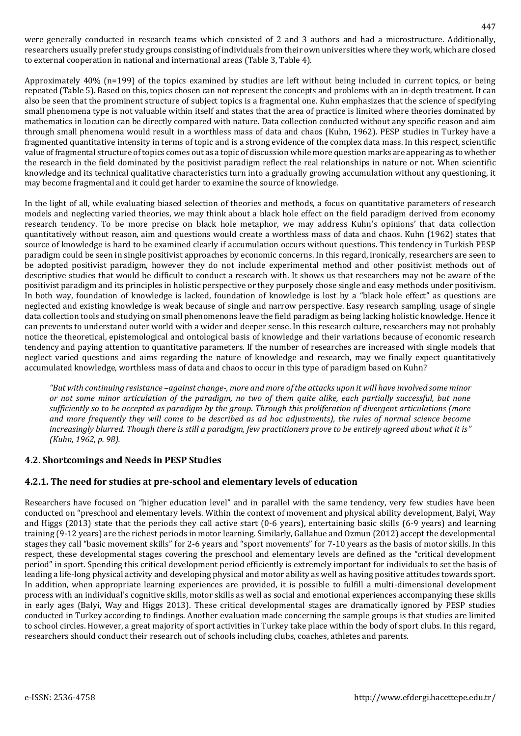were generally conducted in research teams which consisted of 2 and 3 authors and had a microstructure. Additionally, researchers usually prefer study groups consisting of individuals from their own universities where they work, which are closed to external cooperation in national and international areas (Table 3, Table 4).

Approximately 40% (n=199) of the topics examined by studies are left without being included in current topics, or being repeated (Table 5). Based on this, topics chosen can not represent the concepts and problems with an in-depth treatment. It can also be seen that the prominent structure of subject topics is a fragmental one. Kuhn emphasizes that the science of specifying small phenomena type is not valuable within itself and states that the area of practice is limited where theories dominated by mathematics in locution can be directly compared with nature. Data collection conducted without any specific reason and aim through small phenomena would result in a worthless mass of data and chaos (Kuhn, 1962). PESP studies in Turkey have a fragmented quantitative intensity in terms of topic and is a strong evidence of the complex data mass. In this respect, scientific value of fragmental structure of topics comes out as a topic of discussion while more question marks are appearing as to whether the research in the field dominated by the positivist paradigm reflect the real relationships in nature or not. When scientific knowledge and its technical qualitative characteristics turn into a gradually growing accumulation without any questioning, it may become fragmental and it could get harder to examine the source of knowledge.

In the light of all, while evaluating biased selection of theories and methods, a focus on quantitative parameters of research models and neglecting varied theories, we may think about a black hole effect on the field paradigm derived from economy research tendency. To be more precise on black hole metaphor, we may address Kuhn's opinions' that data collection quantitatively without reason, aim and questions would create a worthless mass of data and chaos. Kuhn (1962) states that source of knowledge is hard to be examined clearly if accumulation occurs without questions. This tendency in Turkish PESP paradigm could be seen in single positivist approaches by economic concerns. In this regard, ironically, researchers are seen to be adopted positivist paradigm, however they do not include experimental method and other positivist methods out of descriptive studies that would be difficult to conduct a research with. It shows us that researchers may not be aware of the positivist paradigm and its principles in holistic perspective or they purposely chose single and easy methods under positivism. In both way, foundation of knowledge is lacked, foundation of knowledge is lost by a "black hole effect" as questions are neglected and existing knowledge is weak because of single and narrow perspective. Easy research sampling, usage of single data collection tools and studying on small phenomenons leave the field paradigm as being lacking holistic knowledge. Hence it can prevents to understand outer world with a wider and deeper sense. In this research culture, researchers may not probably notice the theoretical, epistemological and ontological basis of knowledge and their variations because of economic research tendency and paying attention to quantitative parameters. If the number of researches are increased with single models that neglect varied questions and aims regarding the nature of knowledge and research, may we finally expect quantitatively accumulated knowledge, worthless mass of data and chaos to occur in this type of paradigm based on Kuhn?

*"But with continuing resistance –against change-, more and more of the attacks upon it will have involved some minor or not some minor articulation of the paradigm, no two of them quite alike, each partially successful, but none sufficiently so to be accepted as paradigm by the group. Through this proliferation of divergent articulations (more and more frequently they will come to be described as ad hoc adjustments), the rules of normal science become increasingly blurred. Though there is still a paradigm, few practitioners prove to be entirely agreed about what it is" (Kuhn, 1962, p. 98).*

# **4.2. Shortcomings and Needs in PESP Studies**

#### **4.2.1. The need for studies at pre-school and elementary levels of education**

Researchers have focused on "higher education level" and in parallel with the same tendency, very few studies have been conducted on "preschool and elementary levels. Within the context of movement and physical ability development, Balyi, Way and Higgs (2013) state that the periods they call active start (0-6 years), entertaining basic skills (6-9 years) and learning training (9-12 years) are the richest periods in motor learning. Similarly, Gallahue and Ozmun (2012) accept the developmental stages they call "basic movement skills" for 2-6 years and "sport movements" for 7-10 years as the basis of motor skills. In this respect, these developmental stages covering the preschool and elementary levels are defined as the "critical development period" in sport. Spending this critical development period efficiently is extremely important for individuals to set the basis of leading a life-long physical activity and developing physical and motor ability as well as having positive attitudes towards sport. In addition, when appropriate learning experiences are provided, it is possible to fulfill a multi-dimensional development process with an individual's cognitive skills, motor skills as well as social and emotional experiences accompanying these skills in early ages (Balyi, Way and Higgs 2013). These critical developmental stages are dramatically ignored by PESP studies conducted in Turkey according to findings. Another evaluation made concerning the sample groups is that studies are limited to school circles. However, a great majority of sport activities in Turkey take place within the body of sport clubs. In this regard, researchers should conduct their research out of schools including clubs, coaches, athletes and parents.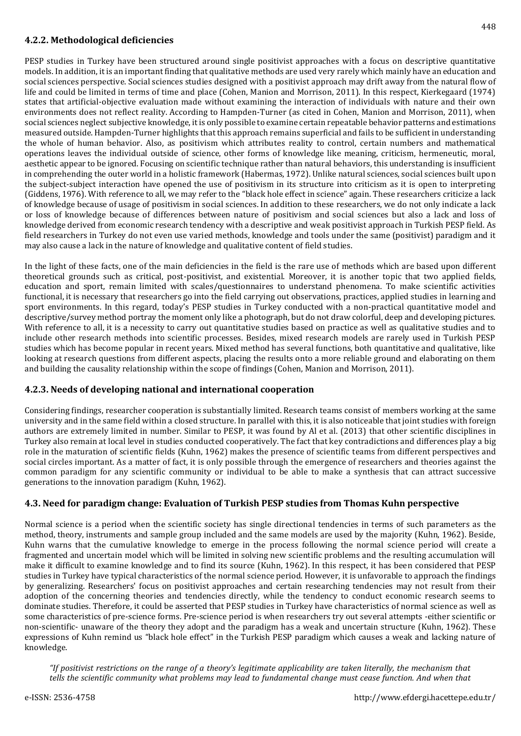### **4.2.2. Methodological deficiencies**

PESP studies in Turkey have been structured around single positivist approaches with a focus on descriptive quantitative models. In addition, it is an important finding that qualitative methods are used very rarely which mainly have an education and social sciences perspective. Social sciences studies designed with a positivist approach may drift away from the natural flow of life and could be limited in terms of time and place (Cohen, Manion and Morrison, 2011). In this respect, Kierkegaard (1974) states that artificial-objective evaluation made without examining the interaction of individuals with nature and their own environments does not reflect reality. According to Hampden-Turner (as cited in Cohen, Manion and Morrison, 2011), when social sciences neglect subjective knowledge, it is only possible to examine certain repeatable behavior patterns and estimations measured outside. Hampden-Turner highlights that this approach remains superficial and fails to be sufficient in understanding the whole of human behavior. Also, as positivism which attributes reality to control, certain numbers and mathematical operations leaves the individual outside of science, other forms of knowledge like meaning, criticism, hermeneutic, moral, aesthetic appear to be ignored. Focusing on scientific technique rather than natural behaviors, this understanding is insufficient in comprehending the outer world in a holistic framework (Habermas, 1972). Unlike natural sciences, social sciences built upon the subject-subject interaction have opened the use of positivism in its structure into criticism as it is open to interpreting (Giddens, 1976). With reference to all, we may refer to the "black hole effect in science" again. These researchers criticize a lack of knowledge because of usage of positivism in social sciences. In addition to these researchers, we do not only indicate a lack or loss of knowledge because of differences between nature of positivism and social sciences but also a lack and loss of knowledge derived from economic research tendency with a descriptive and weak positivist approach in Turkish PESP field. As field researchers in Turkey do not even use varied methods, knowledge and tools under the same (positivist) paradigm and it may also cause a lack in the nature of knowledge and qualitative content of field studies.

In the light of these facts, one of the main deficiencies in the field is the rare use of methods which are based upon different theoretical grounds such as critical, post-positivist, and existential. Moreover, it is another topic that two applied fields, education and sport, remain limited with scales/questionnaires to understand phenomena. To make scientific activities functional, it is necessary that researchers go into the field carrying out observations, practices, applied studies in learning and sport environments. In this regard, today's PESP studies in Turkey conducted with a non-practical quantitative model and descriptive/survey method portray the moment only like a photograph, but do not draw colorful, deep and developing pictures. With reference to all, it is a necessity to carry out quantitative studies based on practice as well as qualitative studies and to include other research methods into scientific processes. Besides, mixed research models are rarely used in Turkish PESP studies which has become popular in recent years. Mixed method has several functions, both quantitative and qualitative, like looking at research questions from different aspects, placing the results onto a more reliable ground and elaborating on them and building the causality relationship within the scope of findings (Cohen, Manion and Morrison, 2011).

#### **4.2.3. Needs of developing national and international cooperation**

Considering findings, researcher cooperation is substantially limited. Research teams consist of members working at the same university and in the same field within a closed structure. In parallel with this, it is also noticeable that joint studies with foreign authors are extremely limited in number. Similar to PESP, it was found by Al et al. (2013) that other scientific disciplines in Turkey also remain at local level in studies conducted cooperatively. The fact that key contradictions and differences play a big role in the maturation of scientific fields (Kuhn, 1962) makes the presence of scientific teams from different perspectives and social circles important. As a matter of fact, it is only possible through the emergence of researchers and theories against the common paradigm for any scientific community or individual to be able to make a synthesis that can attract successive generations to the innovation paradigm (Kuhn, 1962).

# **4.3. Need for paradigm change: Evaluation of Turkish PESP studies from Thomas Kuhn perspective**

Normal science is a period when the scientific society has single directional tendencies in terms of such parameters as the method, theory, instruments and sample group included and the same models are used by the majority (Kuhn, 1962). Beside, Kuhn warns that the cumulative knowledge to emerge in the process following the normal science period will create a fragmented and uncertain model which will be limited in solving new scientific problems and the resulting accumulation will make it difficult to examine knowledge and to find its source (Kuhn, 1962). In this respect, it has been considered that PESP studies in Turkey have typical characteristics of the normal science period. However, it is unfavorable to approach the findings by generalizing. Researchers' focus on positivist approaches and certain researching tendencies may not result from their adoption of the concerning theories and tendencies directly, while the tendency to conduct economic research seems to dominate studies. Therefore, it could be asserted that PESP studies in Turkey have characteristics of normal science as well as some characteristics of pre-science forms. Pre-science period is when researchers try out several attempts -either scientific or non-scientific- unaware of the theory they adopt and the paradigm has a weak and uncertain structure (Kuhn, 1962). These expressions of Kuhn remind us "black hole effect" in the Turkish PESP paradigm which causes a weak and lacking nature of knowledge.

*"If positivist restrictions on the range of a theory's legitimate applicability are taken literally, the mechanism that tells the scientific community what problems may lead to fundamental change must cease function. And when that*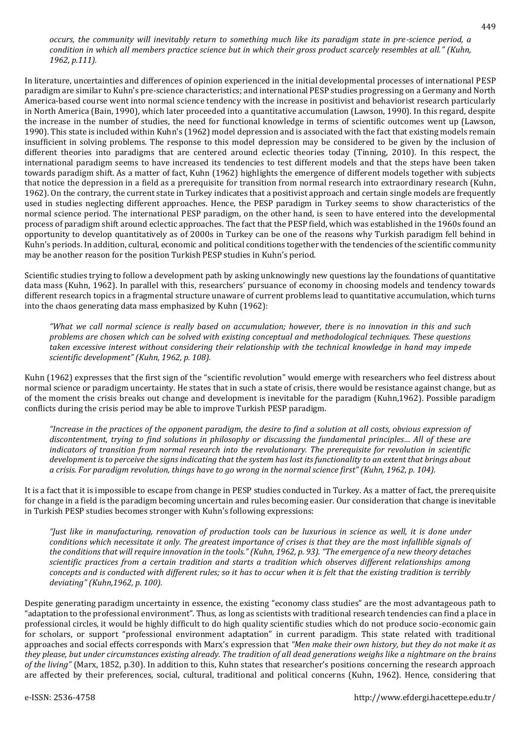#### *occurs, the community will inevitably return to something much like its paradigm state in pre-science period, a condition in which all members practice science but in which their gross product scarcely resembles at all." (Kuhn, 1962, p.111).*

In literature, uncertainties and differences of opinion experienced in the initial developmental processes of international PESP paradigm are similar to Kuhn's pre-science characteristics; and international PESP studies progressing on a Germany and North America-based course went into normal science tendency with the increase in positivist and behaviorist research particularly in North America (Bain, 1990), which later proceeded into a quantitative accumulation (Lawson, 1990). In this regard, despite the increase in the number of studies, the need for functional knowledge in terms of scientific outcomes went up (Lawson, 1990). This state is included within Kuhn's (1962) model depression and is associated with the fact that existing models remain insufficient in solving problems. The response to this model depression may be considered to be given by the inclusion of different theories into paradigms that are centered around eclectic theories today (Tinning, 2010). In this respect, the international paradigm seems to have increased its tendencies to test different models and that the steps have been taken towards paradigm shift. As a matter of fact, Kuhn (1962) highlights the emergence of different models together with subjects that notice the depression in a field as a prerequisite for transition from normal research into extraordinary research (Kuhn, 1962). On the contrary, the current state in Turkey indicates that a positivist approach and certain single models are frequently used in studies neglecting different approaches. Hence, the PESP paradigm in Turkey seems to show characteristics of the normal science period. The international PESP paradigm, on the other hand, is seen to have entered into the developmental process of paradigm shift around eclectic approaches. The fact that the PESP field, which was established in the 1960s found an opportunity to develop quantitatively as of 2000s in Turkey can be one of the reasons why Turkish paradigm fell behind in Kuhn's periods. In addition, cultural, economic and political conditions together with the tendencies of the scientific community may be another reason for the position Turkish PESP studies in Kuhn's period.

Scientific studies trying to follow a development path by asking unknowingly new questions lay the foundations of quantitative data mass (Kuhn, 1962). In parallel with this, researchers' pursuance of economy in choosing models and tendency towards different research topics in a fragmental structure unaware of current problems lead to quantitative accumulation, which turns into the chaos generating data mass emphasized by Kuhn (1962):

*"What we call normal science is really based on accumulation; however, there is no innovation in this and such problems are chosen which can be solved with existing conceptual and methodological techniques. These questions taken excessive interest without considering their relationship with the technical knowledge in hand may impede scientific development" (Kuhn, 1962, p. 108).*

Kuhn (1962) expresses that the first sign of the "scientific revolution" would emerge with researchers who feel distress about normal science or paradigm uncertainty. He states that in such a state of crisis, there would be resistance against change, but as of the moment the crisis breaks out change and development is inevitable for the paradigm (Kuhn,1962). Possible paradigm conflicts during the crisis period may be able to improve Turkish PESP paradigm.

*"Increase in the practices of the opponent paradigm, the desire to find a solution at all costs, obvious expression of discontentment, trying to find solutions in philosophy or discussing the fundamental principles… All of these are indicators of transition from normal research into the revolutionary. The prerequisite for revolution in scientific development is to perceive the signs indicating that the system has lost its functionality to an extent that brings about a crisis. For paradigm revolution, things have to go wrong in the normal science first" (Kuhn, 1962, p. 104).*

It is a fact that it is impossible to escape from change in PESP studies conducted in Turkey. As a matter of fact, the prerequisite for change in a field is the paradigm becoming uncertain and rules becoming easier. Our consideration that change is inevitable in Turkish PESP studies becomes stronger with Kuhn's following expressions:

*"Just like in manufacturing, renovation of production tools can be luxurious in science as well, it is done under conditions which necessitate it only. The greatest importance of crises is that they are the most infallible signals of the conditions that will require innovation in the tools." (Kuhn, 1962, p. 93). "The emergence of a new theory detaches scientific practices from a certain tradition and starts a tradition which observes different relationships among concepts and is conducted with different rules; so it has to occur when it is felt that the existing tradition is terribly deviating" (Kuhn,1962, p. 100).*

Despite generating paradigm uncertainty in essence, the existing "economy class studies" are the most advantageous path to "adaptation to the professional environment". Thus, as long as scientists with traditional research tendencies can find a place in professional circles, it would be highly difficult to do high quality scientific studies which do not produce socio-economic gain for scholars, or support "professional environment adaptation" in current paradigm. This state related with traditional approaches and social effects corresponds with Marx's expression that *"Men make their own history, but they do not make it as they please, but under circumstances existing already. The tradition of all dead generations weighs like a nightmare on the brains of the living"* (Marx, 1852, p.30). In addition to this, Kuhn states that researcher's positions concerning the research approach are affected by their preferences, social, cultural, traditional and political concerns (Kuhn, 1962). Hence, considering that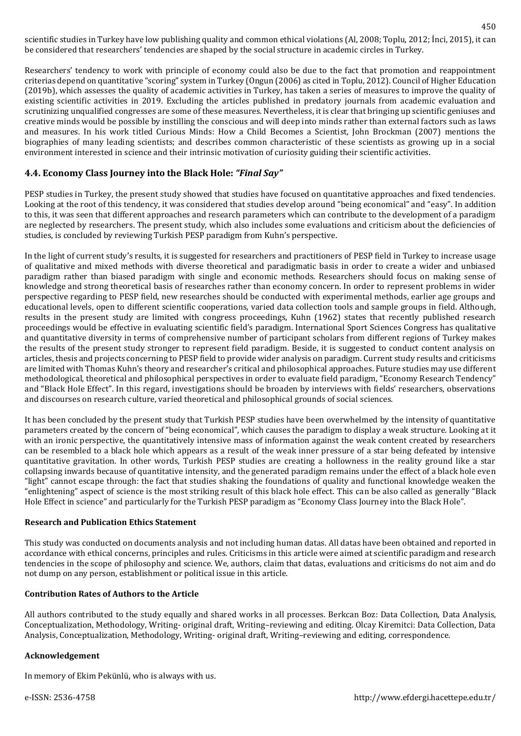scientific studies in Turkey have low publishing quality and common ethical violations (Al, 2008; Toplu, 2012; İnci, 2015), it can be considered that researchers' tendencies are shaped by the social structure in academic circles in Turkey.

Researchers' tendency to work with principle of economy could also be due to the fact that promotion and reappointment criterias depend on quantitative "scoring" system in Turkey (Ongun (2006) as cited in Toplu, 2012). Council of Higher Education (2019b), which assesses the quality of academic activities in Turkey, has taken a series of measures to improve the quality of existing scientific activities in 2019. Excluding the articles published in predatory journals from academic evaluation and scrutinizing unqualified congresses are some of these measures. Nevertheless, it is clear that bringing up scientific geniuses and creative minds would be possible by instilling the conscious and will deep into minds rather than external factors such as laws and measures. In his work titled Curious Minds: How a Child Becomes a Scientist, John Brockman (2007) mentions the biographies of many leading scientists; and describes common characteristic of these scientists as growing up in a social environment interested in science and their intrinsic motivation of curiosity guiding their scientific activities.

#### **4.4. Economy Class Journey into the Black Hole:** *"Final Say"*

PESP studies in Turkey, the present study showed that studies have focused on quantitative approaches and fixed tendencies. Looking at the root of this tendency, it was considered that studies develop around "being economical" and "easy". In addition to this, it was seen that different approaches and research parameters which can contribute to the development of a paradigm are neglected by researchers. The present study, which also includes some evaluations and criticism about the deficiencies of studies, is concluded by reviewing Turkish PESP paradigm from Kuhn's perspective.

In the light of current study's results, it is suggested for researchers and practitioners of PESP field in Turkey to increase usage of qualitative and mixed methods with diverse theoretical and paradigmatic basis in order to create a wider and unbiased paradigm rather than biased paradigm with single and economic methods. Researchers should focus on making sense of knowledge and strong theoretical basis of researches rather than economy concern. In order to represent problems in wider perspective regarding to PESP field, new researches should be conducted with experimental methods, earlier age groups and educational levels, open to different scientific cooperations, varied data collection tools and sample groups in field. Although, results in the present study are limited with congress proceedings, Kuhn (1962) states that recently published research proceedings would be effective in evaluating scientific field's paradigm. International Sport Sciences Congress has qualitative and quantitative diversity in terms of comprehensive number of participant scholars from different regions of Turkey makes the results of the present study stronger to represent field paradigm. Beside, it is suggested to conduct content analysis on articles, thesis and projects concerning to PESP field to provide wider analysis on paradigm. Current study results and criticisms are limited with Thomas Kuhn's theory and researcher's critical and philosophical approaches. Future studies may use different methodological, theoretical and philosophical perspectives in order to evaluate field paradigm, "Economy Research Tendency" and "Black Hole Effect". In this regard, investigations should be broaden by interviews with fields' researchers, observations and discourses on research culture, varied theoretical and philosophical grounds of social sciences.

It has been concluded by the present study that Turkish PESP studies have been overwhelmed by the intensity of quantitative parameters created by the concern of "being economical", which causes the paradigm to display a weak structure. Looking at it with an ironic perspective, the quantitatively intensive mass of information against the weak content created by researchers can be resembled to a black hole which appears as a result of the weak inner pressure of a star being defeated by intensive quantitative gravitation. In other words, Turkish PESP studies are creating a hollowness in the reality ground like a star collapsing inwards because of quantitative intensity, and the generated paradigm remains under the effect of a black hole even "light" cannot escape through: the fact that studies shaking the foundations of quality and functional knowledge weaken the "enlightening" aspect of science is the most striking result of this black hole effect. This can be also called as generally "Black Hole Effect in science" and particularly for the Turkish PESP paradigm as "Economy Class Journey into the Black Hole".

#### **Research and Publication Ethics Statement**

This study was conducted on documents analysis and not including human datas. All datas have been obtained and reported in accordance with ethical concerns, principles and rules. Criticisms in this article were aimed at scientific paradigm and research tendencies in the scope of philosophy and science. We, authors, claim that datas, evaluations and criticisms do not aim and do not dump on any person, establishment or political issue in this article.

#### **Contribution Rates of Authors to the Article**

All authors contributed to the study equally and shared works in all processes. Berkcan Boz: Data Collection, Data Analysis, Conceptualization, Methodology, Writing- original draft, Writing–reviewing and editing. Olcay Kiremitci: Data Collection, Data Analysis, Conceptualization, Methodology, Writing- original draft, Writing–reviewing and editing, correspondence.

#### **Acknowledgement**

In memory of Ekim Pekünlü, who is always with us.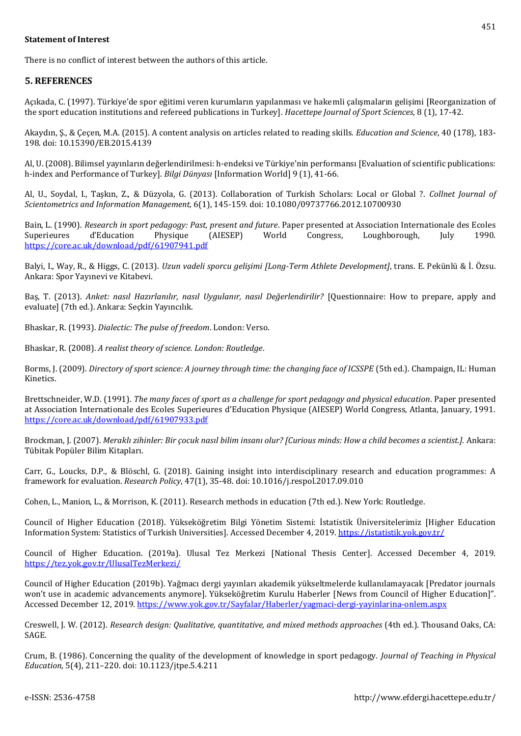#### **Statement of Interest**

There is no conflict of interest between the authors of this article.

#### **5. REFERENCES**

Açıkada, C. (1997). Türkiye'de spor eğitimi veren kurumların yapılanması ve hakemli çalışmaların gelişimi [Reorganization of the sport education institutions and refereed publications in Turkey]. *Hacettepe Journal of Sport Sciences*, 8 (1), 17-42.

Akaydın, Ş., & Çeçen, M.A. (2015). A content analysis on articles related to reading skills*. Education and Science*, 40 (178), 183- 198. doi: 10.15390/EB.2015.4139

Al, U. (2008). Bilimsel yayınların değerlendirilmesi: h-endeksi ve Türkiye'nin performansı [Evaluation of scientific publications: h-index and Performance of Turkey]. *Bilgi Dünyası* [Information World] 9 (1), 41-66.

Al, U., Soydal, I., Taşkın, Z., & Düzyola, G. (2013). Collaboration of Turkish Scholars: Local or Global ?. *Collnet Journal of Scientometrics and Information Management,* 6(1), 145-159. doi: 10.1080/09737766.2012.10700930

Bain, L. (1990). *Research in sport pedagogy: Past, present and future*. Paper presented at Association Internationale des Ecoles Superieures d'Education Physique (AIESEP) World Congress, Loughborough, July 1990. <https://core.ac.uk/download/pdf/61907941.pdf>

Balyi, I., Way, R., & Higgs, C. (2013). *Uzun vadeli sporcu gelişimi [Long-Term Athlete Development]*, trans. E. Pekünlü & İ. Özsu. Ankara: Spor Yayınevi ve Kitabevi.

Baş, T. (2013). *Anket: nasıl Hazırlanılır, nasıl Uygulanır, nasıl Değerlendirilir?* [Questionnaire: How to prepare, apply and evaluate] (7th ed.). Ankara: Seçkin Yayıncılık.

Bhaskar, R. (1993). *Dialectic: The pulse of freedom*. London: Verso.

Bhaskar, R. (2008). *A realist theory of science. London: Routledge*.

Borms, J. (2009). *Directory of sport science: A journey through time: the changing face of ICSSPE* (5th ed.). Champaign, IL: Human Kinetics.

Brettschneider, W.D. (1991). *The many faces of sport as a challenge for sport pedagogy and physical education*. Paper presented at Association Internationale des Ecoles Superieures d'Education Physique (AIESEP) World Congress, Atlanta, January, 1991. <https://core.ac.uk/download/pdf/61907933.pdf>

Brockman, J. (2007). *Meraklı zihinler: Bir çocuk nasıl bilim insanı olur? [Curious minds: How a child becomes a scientist.].* Ankara: Tübitak Popüler Bilim Kitapları.

Carr, G., Loucks, D.P., & Blöschl, G. (2018). Gaining insight into interdisciplinary research and education programmes: A framework for evaluation. *Research Policy*, 47(1), 35-48. doi: 10.1016/j.respol.2017.09.010

Cohen, L., Manion, L., & Morrison, K. (2011). Research methods in education (7th ed.). New York: Routledge.

Council of Higher Education (2018). Yükseköğretim Bilgi Yönetim Sistemi: İstatistik Üniversitelerimiz [Higher Education Information System: Statistics of Turkish Universities]. Accessed December 4, 2019.<https://istatistik.yok.gov.tr/>

Council of Higher Education. (2019a). Ulusal Tez Merkezi [National Thesis Center]. Accessed December 4, 2019. <https://tez.yok.gov.tr/UlusalTezMerkezi/>

Council of Higher Education (2019b). Yağmacı dergi yayınları akademik yükseltmelerde kullanılamayacak [Predator journals won't use in academic advancements anymore]. Yükseköğretim Kurulu Haberler [News from Council of Higher Education]". Accessed December 12, 2019.<https://www.yok.gov.tr/Sayfalar/Haberler/yagmaci-dergi-yayinlarina-onlem.aspx>

Creswell, J. W. (2012). *Research design: Qualitative, quantitative, and mixed methods approaches* (4th ed.). Thousand Oaks, CA: SAGE.

Crum, B. (1986). Concerning the quality of the development of knowledge in sport pedagogy. *Journal of Teaching in Physical Education*, 5(4), 211–220. doi: 10.1123/jtpe.5.4.211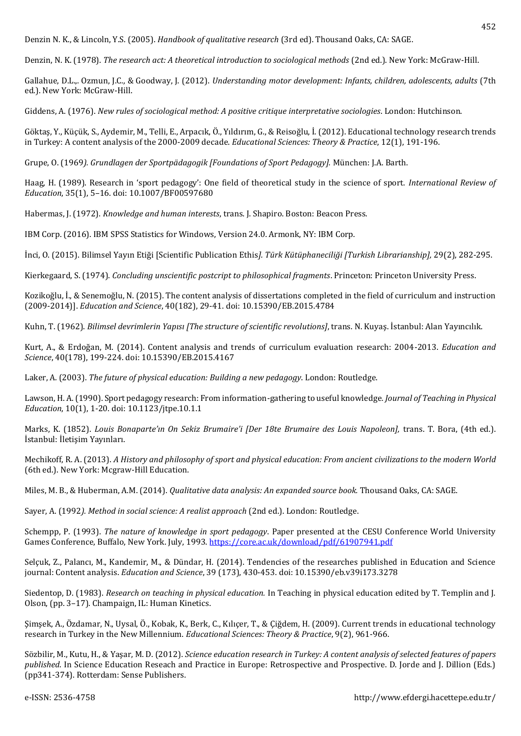Denzin N. K., & Lincoln, Y.S. (2005). *Handbook of qualitative research* (3rd ed). Thousand Oaks, CA: SAGE.

Denzin, N. K. (1978). *The research act: A theoretical introduction to sociological methods* (2nd ed.). New York: McGraw-Hill.

Gallahue, D.L.,. Ozmun, J.C., & Goodway, J. (2012). *Understanding motor development: Infants, children, adolescents, adults* (7th ed.). New York: McGraw-Hill.

Giddens, A. (1976). *New rules of sociological method: A positive critique interpretative sociologies*. London: Hutchinson.

Göktaş, Y., Küçük, S., Aydemir, M., Telli, E., Arpacık, Ö., Yıldırım, G., & Reisoğlu, İ. (2012). Educational technology research trends in Turkey: A content analysis of the 2000-2009 decade. *Educational Sciences: Theory & Practice*, 12(1), 191-196.

Grupe, O. (1969*). Grundlagen der Sportpädagogik [Foundations of Sport Pedagogy].* München: J.A. Barth.

Haag, H. (1989). Research in 'sport pedagogy': One field of theoretical study in the science of sport. *International Review of Education*, 35(1), 5–16. doi: 10.1007/BF00597680

Habermas, J. (1972). *Knowledge and human interests*, trans. J. Shapiro. Boston: Beacon Press.

IBM Corp. (2016). IBM SPSS Statistics for Windows, Version 24.0. Armonk, NY: IBM Corp.

İnci, O. (2015). Bilimsel Yayın Etiği [Scientific Publication Ethis*]. Türk Kütüphaneciliği [Turkish Librarianship],* 29(2), 282-295.

Kierkegaard, S. (1974). *Concluding unscientific postcript to philosophical fragments*. Princeton: Princeton University Press.

Kozikoğlu, İ., & Senemoğlu, N. (2015). The content analysis of dissertations completed in the field of curriculum and instruction (2009-2014)]. *Education and Science*, 40(182), 29-41. doi: 10.15390/EB.2015.4784

Kuhn, T. (1962). *Bilimsel devrimlerin Yapısı [The structure of scientific revolutions]*, trans. N. Kuyaş. İstanbul: Alan Yayıncılık.

Kurt, A., & Erdoğan, M. (2014). Content analysis and trends of curriculum evaluation research: 2004-2013. *Education and Science*, 40(178), 199-224. doi: 10.15390/EB.2015.4167

Laker, A. (2003). *The future of physical education: Building a new pedagogy*. London: Routledge.

Lawson, H. A. (1990). Sport pedagogy research: From information-gathering to useful knowledge*. Journal of Teaching in Physical Education*, 10(1), 1-20. doi: 10.1123/jtpe.10.1.1

Marks, K. (1852). *Louis Bonaparte'ın On Sekiz Brumaire'i [Der 18te Brumaire des Louis Napoleon],* trans. T. Bora, (4th ed.). İstanbul: İletişim Yayınları.

Mechikoff, R. A. (2013). *A History and philosophy of sport and physical education: From ancient civilizations to the modern World* (6th ed.). New York: Mcgraw-Hill Education.

Miles, M. B., & Huberman, A.M. (2014). *Qualitative data analysis: An expanded source book.* Thousand Oaks, CA: SAGE.

Sayer, A. (1992*). Method in social science: A realist approach* (2nd ed.). London: Routledge.

Schempp, P. (1993). *The nature of knowledge in sport pedagogy*. Paper presented at the CESU Conference World University Games Conference, Buffalo, New York. July, 1993[. https://core.ac.uk/download/pdf/61907941.pdf](https://core.ac.uk/download/pdf/61907941.pdf)

Selçuk, Z., Palancı, M., Kandemir, M., & Dündar, H. (2014). Tendencies of the researches published in Education and Science journal: Content analysis. *Education and Science*, 39 (173), 430-453. doi: 10.15390/eb.v39i173.3278

Siedentop, D. (1983). *Research on teaching in physical education.* In Teaching in physical education edited by T. Templin and J. Olson, (pp. 3–17). Champaign, IL: Human Kinetics.

Şimşek, A., Özdamar, N., Uysal, Ö., Kobak, K., Berk, C., Kılıçer, T., & Çiğdem, H. (2009). Current trends in educational technology research in Turkey in the New Millennium. *Educational Sciences: Theory & Practice*, 9(2), 961-966.

Sözbilir, M., Kutu, H., & Yaşar, M. D. (2012). *Science education research in Turkey: A content analysis of selected features of papers published*. In Science Education Reseach and Practice in Europe: Retrospective and Prospective. D. Jorde and J. Dillion (Eds.) (pp341-374). Rotterdam: Sense Publishers.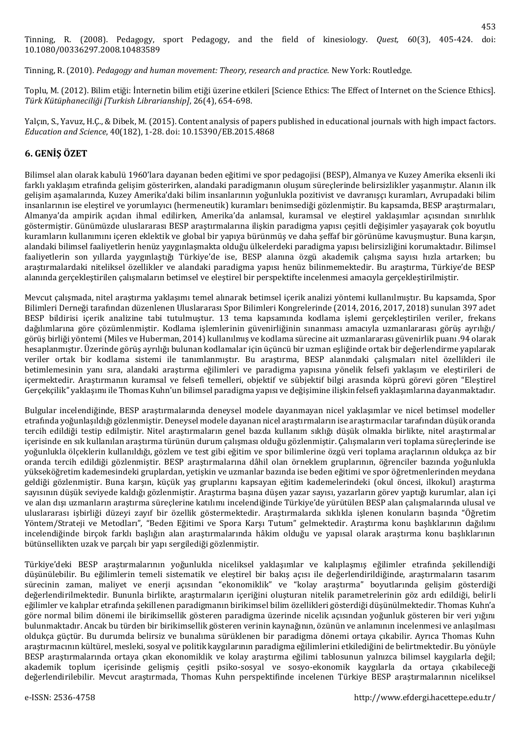Tinning, R. (2010). *Pedagogy and human movement: Theory, research and practice.* New York: Routledge.

Toplu, M. (2012). Bilim etiği: İnternetin bilim etiği üzerine etkileri [Science Ethics: The Effect of Internet on the Science Ethics]. *Türk Kütüphaneciliği [Turkish Librarianship]*, 26(4), 654-698.

Yalçın, S., Yavuz, H.Ç., & Dibek, M. (2015). Content analysis of papers published in educational journals with high impact factors. *Education and Science*, 40(182), 1-28. doi: 10.15390/EB.2015.4868

# **6. GENİŞ ÖZET**

Bilimsel alan olarak kabulü 1960'lara dayanan beden eğitimi ve spor pedagojisi (BESP), Almanya ve Kuzey Amerika eksenli iki farklı yaklaşım etrafında gelişim gösterirken, alandaki paradigmanın oluşum süreçlerinde belirsizlikler yaşanmıştır. Alanın ilk gelişim aşamalarında, Kuzey Amerika'daki bilim insanlarının yoğunlukla pozitivist ve davranışçı kuramları, Avrupadaki bilim insanlarının ise eleştirel ve yorumlayıcı (hermeneutik) kuramları benimsediği gözlenmiştir. Bu kapsamda, BESP araştırmaları, Almanya'da ampirik açıdan ihmal edilirken, Amerika'da anlamsal, kuramsal ve eleştirel yaklaşımlar açısından sınırlılık göstermiştir. Günümüzde uluslararası BESP araştırmalarına ilişkin paradigma yapısı çeşitli değişimler yaşayarak çok boyutlu kuramların kullanımını içeren eklektik ve global bir yapıya bürünmüş ve daha şeffaf bir görünüme kavuşmuştur. Buna karşın, alandaki bilimsel faaliyetlerin henüz yaygınlaşmakta olduğu ülkelerdeki paradigma yapısı belirsizliğini korumaktadır. Bilimsel faaliyetlerin son yıllarda yaygınlaştığı Türkiye'de ise, BESP alanına özgü akademik çalışma sayısı hızla artarken; bu araştırmalardaki niteliksel özellikler ve alandaki paradigma yapısı henüz bilinmemektedir. Bu araştırma, Türkiye'de BESP alanında gerçekleştirilen çalışmaların betimsel ve eleştirel bir perspektifte incelenmesi amacıyla gerçekleştirilmiştir.

Mevcut çalışmada, nitel araştırma yaklaşımı temel alınarak betimsel içerik analizi yöntemi kullanılmıştır. Bu kapsamda, Spor Bilimleri Derneği tarafından düzenlenen Uluslararası Spor Bilimleri Kongrelerinde (2014, 2016, 2017, 2018) sunulan 397 adet BESP bildirisi içerik analizine tabi tutulmuştur. 13 tema kapsamında kodlama işlemi gerçekleştirilen veriler, frekans dağılımlarına göre çözümlenmiştir. Kodlama işlemlerinin güvenirliğinin sınanması amacıyla uzmanlararası görüş ayrılığı/ görüş birliği yöntemi (Miles ve Huberman, 2014) kullanılmış ve kodlama sürecine ait uzmanlararası güvenirlik puanı .94 olarak hesaplanmıştır. Üzerinde görüş ayrılığı bulunan kodlamalar için üçüncü bir uzman eşliğinde ortak bir değerlendirme yapılarak veriler ortak bir kodlama sistemi ile tanımlanmıştır. Bu araştırma, BESP alanındaki çalışmaları nitel özellikleri ile betimlemesinin yanı sıra, alandaki araştırma eğilimleri ve paradigma yapısına yönelik felsefi yaklaşım ve eleştirileri de içermektedir. Araştırmanın kuramsal ve felsefi temelleri, objektif ve sübjektif bilgi arasında köprü görevi gören "Eleştirel Gerçekçilik" yaklaşımı ile Thomas Kuhn'un bilimsel paradigma yapısı ve değişimine ilişkin felsefi yaklaşımlarına dayanmaktadır.

Bulgular incelendiğinde, BESP araştırmalarında deneysel modele dayanmayan nicel yaklaşımlar ve nicel betimsel modeller etrafında yoğunlaşıldığı gözlenmiştir. Deneysel modele dayanan nicel araştırmaların ise araştırmacılar tarafından düşük oranda tercih edildiği testip edilmiştir. Nitel araştırmaların genel bazda kullanım sıklığı düşük olmakla birlikte, nitel araştırmalar içerisinde en sık kullanılan araştırma türünün durum çalışması olduğu gözlenmiştir. Çalışmaların veri toplama süreçlerinde ise yoğunlukla ölçeklerin kullanıldığı, gözlem ve test gibi eğitim ve spor bilimlerine özgü veri toplama araçlarının oldukça az bir oranda tercih edildiği gözlenmiştir. BESP araştırmalarına dâhil olan örneklem gruplarının, öğrenciler bazında yoğunlukla yükseköğretim kademesindeki gruplardan, yetişkin ve uzmanlar bazında ise beden eğitimi ve spor öğretmenlerinden meydana geldiği gözlenmiştir. Buna karşın, küçük yaş gruplarını kapsayan eğitim kademelerindeki (okul öncesi, ilkokul) araştırma sayısının düşük seviyede kaldığı gözlenmiştir. Araştırma başına düşen yazar sayısı, yazarların görev yaptığı kurumlar, alan içi ve alan dışı uzmanların araştırma süreçlerine katılımı incelendiğinde Türkiye'de yürütülen BESP alan çalışmalarında ulusal ve uluslararası işbirliği düzeyi zayıf bir özellik göstermektedir. Araştırmalarda sıklıkla işlenen konuların başında "Öğretim Yöntem/Strateji ve Metodları", "Beden Eğitimi ve Spora Karşı Tutum" gelmektedir. Araştırma konu başlıklarının dağılımı incelendiğinde birçok farklı başlığın alan araştırmalarında hâkim olduğu ve yapısal olarak araştırma konu başlıklarının bütünsellikten uzak ve parçalı bir yapı sergilediği gözlenmiştir.

Türkiye'deki BESP araştırmalarının yoğunlukla niceliksel yaklaşımlar ve kalıplaşmış eğilimler etrafında şekillendiği düşünülebilir. Bu eğilimlerin temeli sistematik ve eleştirel bir bakış açısı ile değerlendirildiğinde, araştırmaların tasarım sürecinin zaman, maliyet ve enerji açısından "ekonomiklik" ve "kolay araştırma" boyutlarında gelişim gösterdiği değerlendirilmektedir. Bununla birlikte, araştırmaların içeriğini oluşturan nitelik parametrelerinin göz ardı edildiği, belirli eğilimler ve kalıplar etrafında şekillenen paradigmanın birikimsel bilim özellikleri gösterdiği düşünülmektedir. Thomas Kuhn'a göre normal bilim dönemi ile birikimsellik gösteren paradigma üzerinde nicelik açısından yoğunluk gösteren bir veri yığını bulunmaktadır. Ancak bu türden bir birikimsellik gösteren verinin kaynağının, özünün ve anlamının incelenmesi ve anlaşılması oldukça güçtür. Bu durumda belirsiz ve bunalıma sürüklenen bir paradigma dönemi ortaya çıkabilir. Ayrıca Thomas Kuhn araştırmacının kültürel, mesleki, sosyal ve politik kaygılarının paradigma eğilimlerini etkilediğini de belirtmektedir. Bu yönüyle BESP araştırmalarında ortaya çıkan ekonomiklik ve kolay araştırma eğilimi tablosunun yalnızca bilimsel kaygılarla değil; akademik toplum içerisinde gelişmiş çeşitli psiko-sosyal ve sosyo-ekonomik kaygılarla da ortaya çıkabileceği değerlendirilebilir. Mevcut araştırmada, Thomas Kuhn perspektifinde incelenen Türkiye BESP araştırmalarının niceliksel